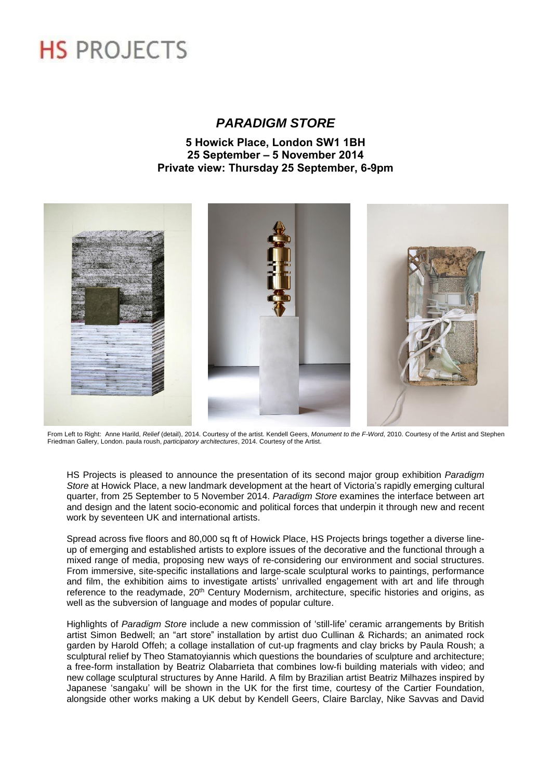# **HS PROJECTS**

## *PARADIGM STORE*

## **5 Howick Place, London SW1 1BH 25 September – 5 November 2014 Private view: Thursday 25 September, 6-9pm**



From Left to Right: Anne Harild, *Relief* (detail), 2014. Courtesy of the artist. Kendell Geers, *Monument to the F-Word*, 2010. Courtesy of the Artist and Stephen Friedman Gallery, London. paula roush, *participatory architectures*, 2014. Courtesy of the Artist.

HS Projects is pleased to announce the presentation of its second major group exhibition *Paradigm Store* at Howick Place, a new landmark development at the heart of Victoria's rapidly emerging cultural quarter, from 25 September to 5 November 2014. *Paradigm Store* examines the interface between art and design and the latent socio-economic and political forces that underpin it through new and recent work by seventeen UK and international artists.

Spread across five floors and 80,000 sq ft of Howick Place, HS Projects brings together a diverse lineup of emerging and established artists to explore issues of the decorative and the functional through a mixed range of media, proposing new ways of re-considering our environment and social structures. From immersive, site-specific installations and large-scale sculptural works to paintings, performance and film, the exhibition aims to investigate artists' unrivalled engagement with art and life through reference to the readymade, 20<sup>th</sup> Century Modernism, architecture, specific histories and origins, as well as the subversion of language and modes of popular culture.

Highlights of *Paradigm Store* include a new commission of 'still-life' ceramic arrangements by British artist Simon Bedwell; an "art store" installation by artist duo Cullinan & Richards; an animated rock garden by Harold Offeh; a collage installation of cut-up fragments and clay bricks by Paula Roush; a sculptural relief by Theo Stamatoyiannis which questions the boundaries of sculpture and architecture; a free-form installation by Beatriz Olabarrieta that combines low-fi building materials with video; and new collage sculptural structures by Anne Harild. A film by Brazilian artist Beatriz Milhazes inspired by Japanese 'sangaku' will be shown in the UK for the first time, courtesy of the Cartier Foundation, alongside other works making a UK debut by Kendell Geers, Claire Barclay, Nike Savvas and David